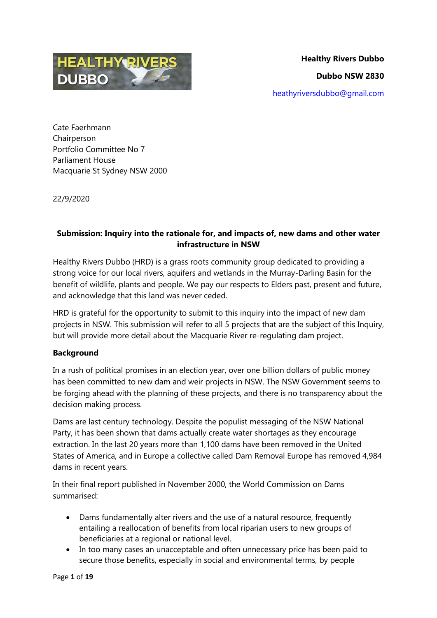

Cate Faerhmann **Chairperson** Portfolio Committee No 7 Parliament House Macquarie St Sydney NSW 2000

22/9/2020

# **Submission: Inquiry into the rationale for, and impacts of, new dams and other water infrastructure in NSW**

Healthy Rivers Dubbo (HRD) is a grass roots community group dedicated to providing a strong voice for our local rivers, aquifers and wetlands in the Murray-Darling Basin for the benefit of wildlife, plants and people. We pay our respects to Elders past, present and future, and acknowledge that this land was never ceded.

HRD is grateful for the opportunity to submit to this inquiry into the impact of new dam projects in NSW. This submission will refer to all 5 projects that are the subject of this Inquiry, but will provide more detail about the Macquarie River re-regulating dam project.

# **Background**

In a rush of political promises in an election year, over one billion dollars of public money has been committed to new dam and weir projects in NSW. The NSW Government seems to be forging ahead with the planning of these projects, and there is no transparency about the decision making process.

Dams are last century technology. Despite the populist messaging of the NSW National Party, it has been shown that dams actually create water shortages as they encourage extraction. In the last 20 years more than 1,100 dams have been removed in the United States of America, and in Europe a collective called Dam Removal Europe has removed 4,984 dams in recent years.

In their final report published in November 2000, the World Commission on Dams summarised:

- Dams fundamentally alter rivers and the use of a natural resource, frequently entailing a reallocation of benefits from local riparian users to new groups of beneficiaries at a regional or national level.
- In too many cases an unacceptable and often unnecessary price has been paid to secure those benefits, especially in social and environmental terms, by people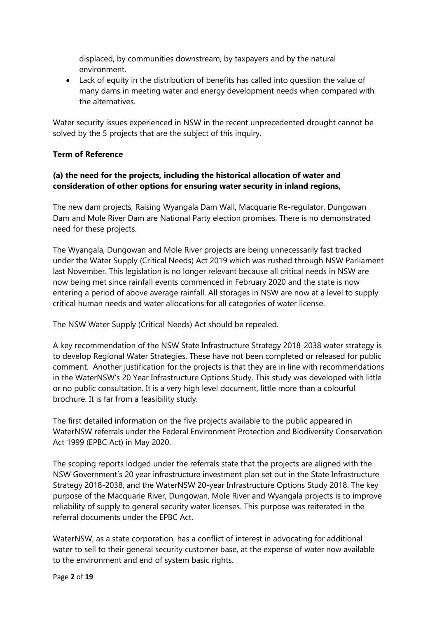displaced, by communities downstream, by taxpayers and by the natural environment.

 Lack of equity in the distribution of benefits has called into question the value of many dams in meeting water and energy development needs when compared with the alternatives.

Water security issues experienced in NSW in the recent unprecedented drought cannot be solved by the 5 projects that are the subject of this inquiry.

## **Term of Reference**

## **(a) the need for the projects, including the historical allocation of water and consideration of other options for ensuring water security in inland regions,**

The new dam projects, Raising Wyangala Dam Wall, Macquarie Re-regulator, Dungowan Dam and Mole River Dam are National Party election promises. There is no demonstrated need for these projects.

The Wyangala, Dungowan and Mole River projects are being unnecessarily fast tracked under the Water Supply (Critical Needs) Act 2019 which was rushed through NSW Parliament last November. This legislation is no longer relevant because all critical needs in NSW are now being met since rainfall events commenced in February 2020 and the state is now entering a period of above average rainfall. All storages in NSW are now at a level to supply critical human needs and water allocations for all categories of water license.

The NSW Water Supply (Critical Needs) Act should be repealed.

A key recommendation of the NSW State Infrastructure Strategy 2018-2038 water strategy is to develop Regional Water Strategies. These have not been completed or released for public comment. Another justification for the projects is that they are in line with recommendations in the WaterNSW's 20 Year Infrastructure Options Study. This study was developed with little or no public consultation. It is a very high level document, little more than a colourful brochure. It is far from a feasibility study.

The first detailed information on the five projects available to the public appeared in WaterNSW referrals under the Federal Environment Protection and Biodiversity Conservation Act 1999 (EPBC Act) in May 2020.

The scoping reports lodged under the referrals state that the projects are aligned with the NSW Government's 20 year infrastructure investment plan set out in the State Infrastructure Strategy 2018-2038, and the WaterNSW 20-year Infrastructure Options Study 2018. The key purpose of the Macquarie River, Dungowan, Mole River and Wyangala projects is to improve reliability of supply to general security water licenses. This purpose was reiterated in the referral documents under the EPBC Act.

WaterNSW, as a state corporation, has a conflict of interest in advocating for additional water to sell to their general security customer base, at the expense of water now available to the environment and end of system basic rights.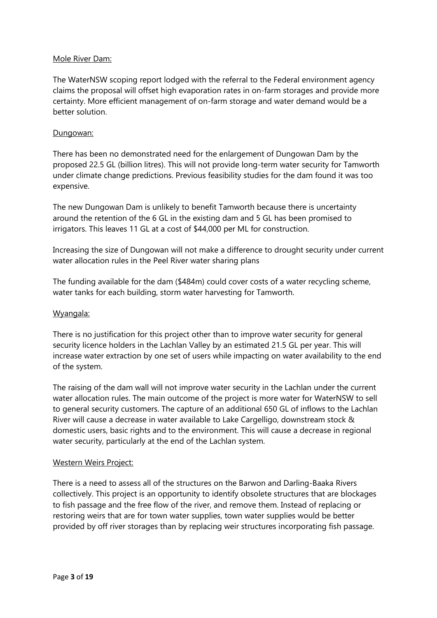#### Mole River Dam:

The WaterNSW scoping report lodged with the referral to the Federal environment agency claims the proposal will offset high evaporation rates in on-farm storages and provide more certainty. More efficient management of on-farm storage and water demand would be a better solution.

## Dungowan:

There has been no demonstrated need for the enlargement of Dungowan Dam by the proposed 22.5 GL (billion litres). This will not provide long-term water security for Tamworth under climate change predictions. Previous feasibility studies for the dam found it was too expensive.

The new Dungowan Dam is unlikely to benefit Tamworth because there is uncertainty around the retention of the 6 GL in the existing dam and 5 GL has been promised to irrigators. This leaves 11 GL at a cost of \$44,000 per ML for construction.

Increasing the size of Dungowan will not make a difference to drought security under current water allocation rules in the Peel River water sharing plans

The funding available for the dam (\$484m) could cover costs of a water recycling scheme, water tanks for each building, storm water harvesting for Tamworth.

#### Wyangala:

There is no justification for this project other than to improve water security for general security licence holders in the Lachlan Valley by an estimated 21.5 GL per year. This will increase water extraction by one set of users while impacting on water availability to the end of the system.

The raising of the dam wall will not improve water security in the Lachlan under the current water allocation rules. The main outcome of the project is more water for WaterNSW to sell to general security customers. The capture of an additional 650 GL of inflows to the Lachlan River will cause a decrease in water available to Lake Cargelligo, downstream stock & domestic users, basic rights and to the environment. This will cause a decrease in regional water security, particularly at the end of the Lachlan system.

#### Western Weirs Project:

There is a need to assess all of the structures on the Barwon and Darling-Baaka Rivers collectively. This project is an opportunity to identify obsolete structures that are blockages to fish passage and the free flow of the river, and remove them. Instead of replacing or restoring weirs that are for town water supplies, town water supplies would be better provided by off river storages than by replacing weir structures incorporating fish passage.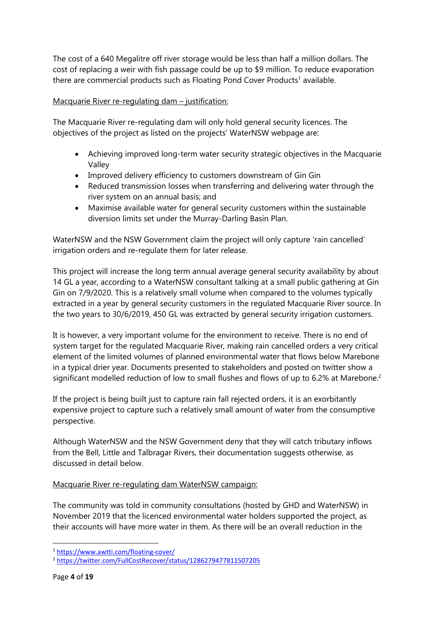The cost of a 640 Megalitre off river storage would be less than half a million dollars. The cost of replacing a weir with fish passage could be up to \$9 million. To reduce evaporation there are commercial products such as Floating Pond Cover Products<sup>1</sup> available.

## Macquarie River re-regulating dam – justification:

The Macquarie River re-regulating dam will only hold general security licences. The objectives of the project as listed on the projects' WaterNSW webpage are:

- Achieving improved long-term water security strategic objectives in the Macquarie Valley
- Improved delivery efficiency to customers downstream of Gin Gin
- Reduced transmission losses when transferring and delivering water through the river system on an annual basis; and
- Maximise available water for general security customers within the sustainable diversion limits set under the Murray-Darling Basin Plan.

WaterNSW and the NSW Government claim the project will only capture 'rain cancelled' irrigation orders and re-regulate them for later release.

This project will increase the long term annual average general security availability by about 14 GL a year, according to a WaterNSW consultant talking at a small public gathering at Gin Gin on 7/9/2020. This is a relatively small volume when compared to the volumes typically extracted in a year by general security customers in the regulated Macquarie River source. In the two years to 30/6/2019, 450 GL was extracted by general security irrigation customers.

It is however, a very important volume for the environment to receive. There is no end of system target for the regulated Macquarie River, making rain cancelled orders a very critical element of the limited volumes of planned environmental water that flows below Marebone in a typical drier year. Documents presented to stakeholders and posted on twitter show a significant modelled reduction of low to small flushes and flows of up to 6.2% at Marebone.<sup>2</sup>

If the project is being built just to capture rain fall rejected orders, it is an exorbitantly expensive project to capture such a relatively small amount of water from the consumptive perspective.

Although WaterNSW and the NSW Government deny that they will catch tributary inflows from the Bell, Little and Talbragar Rivers, their documentation suggests otherwise, as discussed in detail below.

## Macquarie River re-regulating dam WaterNSW campaign:

The community was told in community consultations (hosted by GHD and WaterNSW) in November 2019 that the licenced environmental water holders supported the project, as their accounts will have more water in them. As there will be an overall reduction in the

<sup>1</sup> <https://www.awtti.com/floating-cover/>

<sup>2</sup> <https://twitter.com/FullCostRecover/status/1286279477811507205>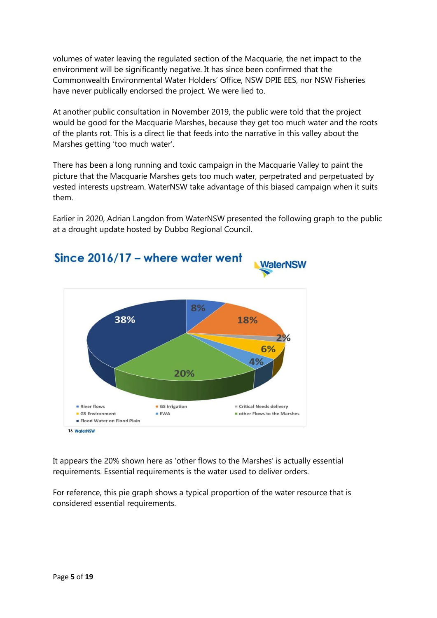volumes of water leaving the regulated section of the Macquarie, the net impact to the environment will be significantly negative. It has since been confirmed that the Commonwealth Environmental Water Holders' Office, NSW DPIE EES, nor NSW Fisheries have never publically endorsed the project. We were lied to.

At another public consultation in November 2019, the public were told that the project would be good for the Macquarie Marshes, because they get too much water and the roots of the plants rot. This is a direct lie that feeds into the narrative in this valley about the Marshes getting 'too much water'.

There has been a long running and toxic campaign in the Macquarie Valley to paint the picture that the Macquarie Marshes gets too much water, perpetrated and perpetuated by vested interests upstream. WaterNSW take advantage of this biased campaign when it suits them.

Earlier in 2020, Adrian Langdon from WaterNSW presented the following graph to the public at a drought update hosted by Dubbo Regional Council.



It appears the 20% shown here as 'other flows to the Marshes' is actually essential requirements. Essential requirements is the water used to deliver orders.

For reference, this pie graph shows a typical proportion of the water resource that is considered essential requirements.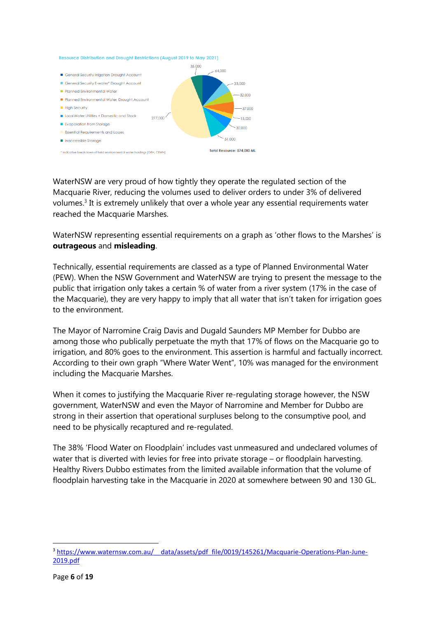#### Resource Distribution and Drought Restrictions (August 2019 to May 2021)



WaterNSW are very proud of how tightly they operate the regulated section of the Macquarie River, reducing the volumes used to deliver orders to under 3% of delivered volumes.<sup>3</sup> It is extremely unlikely that over a whole year any essential requirements water reached the Macquarie Marshes.

WaterNSW representing essential requirements on a graph as 'other flows to the Marshes' is **outrageous** and **misleading**.

Technically, essential requirements are classed as a type of Planned Environmental Water (PEW). When the NSW Government and WaterNSW are trying to present the message to the public that irrigation only takes a certain % of water from a river system (17% in the case of the Macquarie), they are very happy to imply that all water that isn't taken for irrigation goes to the environment.

The Mayor of Narromine Craig Davis and Dugald Saunders MP Member for Dubbo are among those who publically perpetuate the myth that 17% of flows on the Macquarie go to irrigation, and 80% goes to the environment. This assertion is harmful and factually incorrect. According to their own graph "Where Water Went", 10% was managed for the environment including the Macquarie Marshes.

When it comes to justifying the Macquarie River re-regulating storage however, the NSW government, WaterNSW and even the Mayor of Narromine and Member for Dubbo are strong in their assertion that operational surpluses belong to the consumptive pool, and need to be physically recaptured and re-regulated.

The 38% 'Flood Water on Floodplain' includes vast unmeasured and undeclared volumes of water that is diverted with levies for free into private storage – or floodplain harvesting. Healthy Rivers Dubbo estimates from the limited available information that the volume of floodplain harvesting take in the Macquarie in 2020 at somewhere between 90 and 130 GL.

<sup>&</sup>lt;sup>3</sup> https://www.waternsw.com.au/ data/assets/pdf file/0019/145261/Macquarie-Operations-Plan-June-[2019.pdf](https://www.waternsw.com.au/__data/assets/pdf_file/0019/145261/Macquarie-Operations-Plan-June-2019.pdf)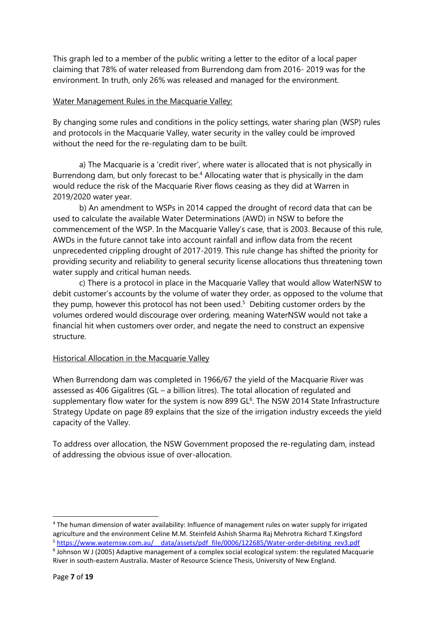This graph led to a member of the public writing a letter to the editor of a local paper claiming that 78% of water released from Burrendong dam from 2016- 2019 was for the environment. In truth, only 26% was released and managed for the environment.

#### Water Management Rules in the Macquarie Valley:

By changing some rules and conditions in the policy settings, water sharing plan (WSP) rules and protocols in the Macquarie Valley, water security in the valley could be improved without the need for the re-regulating dam to be built.

a) The Macquarie is a 'credit river', where water is allocated that is not physically in Burrendong dam, but only forecast to be.<sup>4</sup> Allocating water that is physically in the dam would reduce the risk of the Macquarie River flows ceasing as they did at Warren in 2019/2020 water year.

b) An amendment to WSPs in 2014 capped the drought of record data that can be used to calculate the available Water Determinations (AWD) in NSW to before the commencement of the WSP. In the Macquarie Valley's case, that is 2003. Because of this rule, AWDs in the future cannot take into account rainfall and inflow data from the recent unprecedented crippling drought of 2017-2019. This rule change has shifted the priority for providing security and reliability to general security license allocations thus threatening town water supply and critical human needs.

c) There is a protocol in place in the Macquarie Valley that would allow WaterNSW to debit customer's accounts by the volume of water they order, as opposed to the volume that they pump, however this protocol has not been used.<sup>5</sup> Debiting customer orders by the volumes ordered would discourage over ordering, meaning WaterNSW would not take a financial hit when customers over order, and negate the need to construct an expensive structure.

## Historical Allocation in the Macquarie Valley

When Burrendong dam was completed in 1966/67 the yield of the Macquarie River was assessed as 406 Gigalitres (GL – a billion litres). The total allocation of regulated and supplementary flow water for the system is now 899  $GL<sup>6</sup>$ . The NSW 2014 State Infrastructure Strategy Update on page 89 explains that the size of the irrigation industry exceeds the yield capacity of the Valley.

To address over allocation, the NSW Government proposed the re-regulating dam, instead of addressing the obvious issue of over-allocation.

 $\overline{a}$ 

<sup>&</sup>lt;sup>4</sup> The human dimension of water availability: Influence of management rules on water supply for irrigated agriculture and the environment Celine M.M. Steinfeld Ashish Sharma Raj Mehrotra Richard T.Kingsford <sup>5</sup> [https://www.waternsw.com.au/\\_\\_data/assets/pdf\\_file/0006/122685/Water-order-debiting\\_rev3.pdf](https://www.waternsw.com.au/__data/assets/pdf_file/0006/122685/Water-order-debiting_rev3.pdf) <sup>6</sup> Johnson W J (2005) Adaptive management of a complex social ecological system: the regulated Macquarie River in south-eastern Australia. Master of Resource Science Thesis, University of New England.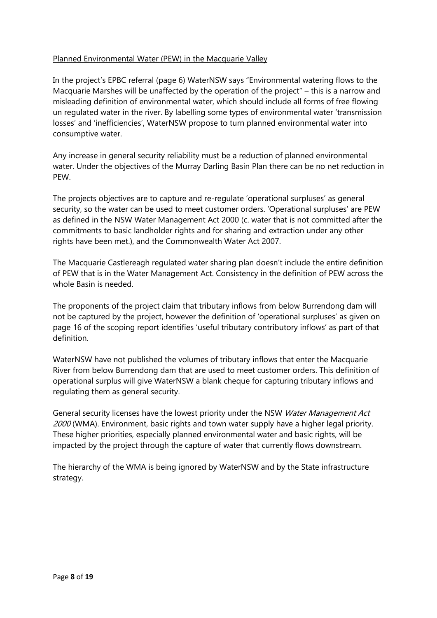## Planned Environmental Water (PEW) in the Macquarie Valley

In the project's EPBC referral (page 6) WaterNSW says "Environmental watering flows to the Macquarie Marshes will be unaffected by the operation of the project" – this is a narrow and misleading definition of environmental water, which should include all forms of free flowing un regulated water in the river. By labelling some types of environmental water 'transmission losses' and 'inefficiencies', WaterNSW propose to turn planned environmental water into consumptive water.

Any increase in general security reliability must be a reduction of planned environmental water. Under the objectives of the Murray Darling Basin Plan there can be no net reduction in PEW.

The projects objectives are to capture and re-regulate 'operational surpluses' as general security, so the water can be used to meet customer orders. 'Operational surpluses' are PEW as defined in the NSW Water Management Act 2000 (c. water that is not committed after the commitments to basic landholder rights and for sharing and extraction under any other rights have been met.), and the Commonwealth Water Act 2007.

The Macquarie Castlereagh regulated water sharing plan doesn't include the entire definition of PEW that is in the Water Management Act. Consistency in the definition of PEW across the whole Basin is needed.

The proponents of the project claim that tributary inflows from below Burrendong dam will not be captured by the project, however the definition of 'operational surpluses' as given on page 16 of the scoping report identifies 'useful tributary contributory inflows' as part of that definition.

WaterNSW have not published the volumes of tributary inflows that enter the Macquarie River from below Burrendong dam that are used to meet customer orders. This definition of operational surplus will give WaterNSW a blank cheque for capturing tributary inflows and regulating them as general security.

General security licenses have the lowest priority under the NSW Water Management Act 2000 (WMA). Environment, basic rights and town water supply have a higher legal priority. These higher priorities, especially planned environmental water and basic rights, will be impacted by the project through the capture of water that currently flows downstream.

The hierarchy of the WMA is being ignored by WaterNSW and by the State infrastructure strategy.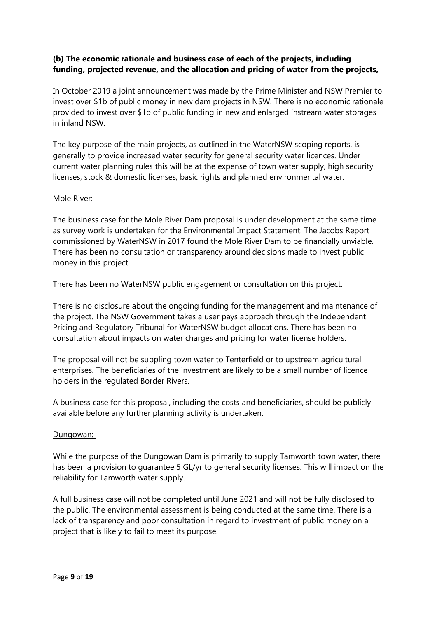## **(b) The economic rationale and business case of each of the projects, including funding, projected revenue, and the allocation and pricing of water from the projects,**

In October 2019 a joint announcement was made by the Prime Minister and NSW Premier to invest over \$1b of public money in new dam projects in NSW. There is no economic rationale provided to invest over \$1b of public funding in new and enlarged instream water storages in inland NSW.

The key purpose of the main projects, as outlined in the WaterNSW scoping reports, is generally to provide increased water security for general security water licences. Under current water planning rules this will be at the expense of town water supply, high security licenses, stock & domestic licenses, basic rights and planned environmental water.

#### Mole River:

The business case for the Mole River Dam proposal is under development at the same time as survey work is undertaken for the Environmental Impact Statement. The Jacobs Report commissioned by WaterNSW in 2017 found the Mole River Dam to be financially unviable. There has been no consultation or transparency around decisions made to invest public money in this project.

There has been no WaterNSW public engagement or consultation on this project.

There is no disclosure about the ongoing funding for the management and maintenance of the project. The NSW Government takes a user pays approach through the Independent Pricing and Regulatory Tribunal for WaterNSW budget allocations. There has been no consultation about impacts on water charges and pricing for water license holders.

The proposal will not be suppling town water to Tenterfield or to upstream agricultural enterprises. The beneficiaries of the investment are likely to be a small number of licence holders in the regulated Border Rivers.

A business case for this proposal, including the costs and beneficiaries, should be publicly available before any further planning activity is undertaken.

#### Dungowan:

While the purpose of the Dungowan Dam is primarily to supply Tamworth town water, there has been a provision to guarantee 5 GL/yr to general security licenses. This will impact on the reliability for Tamworth water supply.

A full business case will not be completed until June 2021 and will not be fully disclosed to the public. The environmental assessment is being conducted at the same time. There is a lack of transparency and poor consultation in regard to investment of public money on a project that is likely to fail to meet its purpose.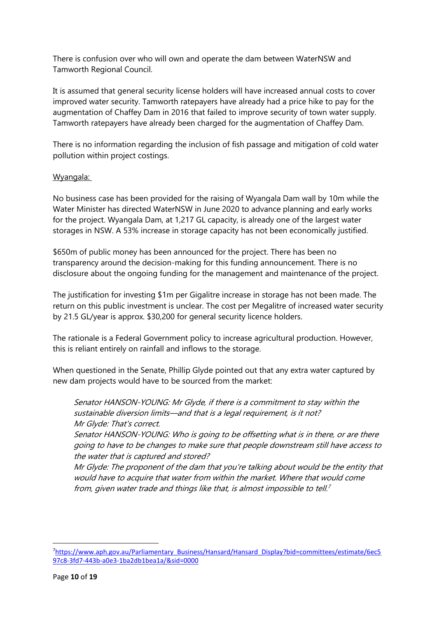There is confusion over who will own and operate the dam between WaterNSW and Tamworth Regional Council.

It is assumed that general security license holders will have increased annual costs to cover improved water security. Tamworth ratepayers have already had a price hike to pay for the augmentation of Chaffey Dam in 2016 that failed to improve security of town water supply. Tamworth ratepayers have already been charged for the augmentation of Chaffey Dam.

There is no information regarding the inclusion of fish passage and mitigation of cold water pollution within project costings.

## Wyangala:

No business case has been provided for the raising of Wyangala Dam wall by 10m while the Water Minister has directed WaterNSW in June 2020 to advance planning and early works for the project. Wyangala Dam, at 1,217 GL capacity, is already one of the largest water storages in NSW. A 53% increase in storage capacity has not been economically justified.

\$650m of public money has been announced for the project. There has been no transparency around the decision-making for this funding announcement. There is no disclosure about the ongoing funding for the management and maintenance of the project.

The justification for investing \$1m per Gigalitre increase in storage has not been made. The return on this public investment is unclear. The cost per Megalitre of increased water security by 21.5 GL/year is approx. \$30,200 for general security licence holders.

The rationale is a Federal Government policy to increase agricultural production. However, this is reliant entirely on rainfall and inflows to the storage.

When questioned in the Senate, Phillip Glyde pointed out that any extra water captured by new dam projects would have to be sourced from the market:

Senator HANSON-YOUNG: Mr Glyde, if there is a commitment to stay within the sustainable diversion limits—and that is a legal requirement, is it not? Mr Glyde: That's correct.

Senator HANSON-YOUNG: Who is going to be offsetting what is in there, or are there going to have to be changes to make sure that people downstream still have access to the water that is captured and stored?

Mr Glyde: The proponent of the dam that you're talking about would be the entity that would have to acquire that water from within the market. Where that would come from, given water trade and things like that, is almost impossible to tell. 7

<sup>7</sup>[https://www.aph.gov.au/Parliamentary\\_Business/Hansard/Hansard\\_Display?bid=committees/estimate/6ec5](https://www.aph.gov.au/Parliamentary_Business/Hansard/Hansard_Display?bid=committees/estimate/6ec597c8-3fd7-443b-a0e3-1ba2db1bea1a/&sid=0000) [97c8-3fd7-443b-a0e3-1ba2db1bea1a/&sid=0000](https://www.aph.gov.au/Parliamentary_Business/Hansard/Hansard_Display?bid=committees/estimate/6ec597c8-3fd7-443b-a0e3-1ba2db1bea1a/&sid=0000)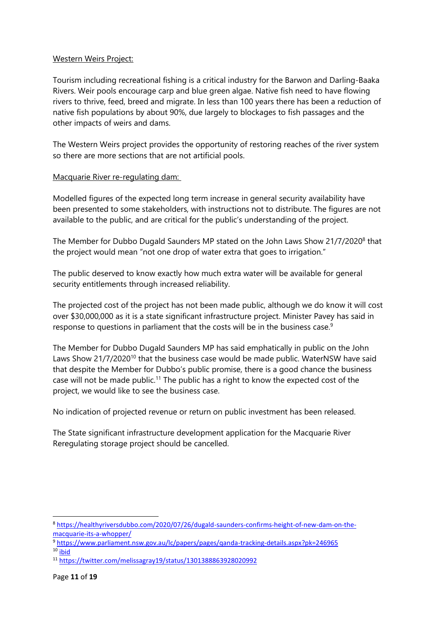### Western Weirs Project:

Tourism including recreational fishing is a critical industry for the Barwon and Darling-Baaka Rivers. Weir pools encourage carp and blue green algae. Native fish need to have flowing rivers to thrive, feed, breed and migrate. In less than 100 years there has been a reduction of native fish populations by about 90%, due largely to blockages to fish passages and the other impacts of weirs and dams.

The Western Weirs project provides the opportunity of restoring reaches of the river system so there are more sections that are not artificial pools.

## Macquarie River re-regulating dam:

Modelled figures of the expected long term increase in general security availability have been presented to some stakeholders, with instructions not to distribute. The figures are not available to the public, and are critical for the public's understanding of the project.

The Member for Dubbo Dugald Saunders MP stated on the John Laws Show 21/7/2020<sup>8</sup> that the project would mean "not one drop of water extra that goes to irrigation."

The public deserved to know exactly how much extra water will be available for general security entitlements through increased reliability.

The projected cost of the project has not been made public, although we do know it will cost over \$30,000,000 as it is a state significant infrastructure project. Minister Pavey has said in response to questions in parliament that the costs will be in the business case.<sup>9</sup>

The Member for Dubbo Dugald Saunders MP has said emphatically in public on the John Laws Show 21/7/2020<sup>10</sup> that the business case would be made public. WaterNSW have said that despite the Member for Dubbo's public promise, there is a good chance the business case will not be made public.<sup>11</sup> The public has a right to know the expected cost of the project, we would like to see the business case.

No indication of projected revenue or return on public investment has been released.

The State significant infrastructure development application for the Macquarie River Reregulating storage project should be cancelled.

 $\overline{a}$ 

<sup>8</sup> [https://healthyriversdubbo.com/2020/07/26/dugald-saunders-confirms-height-of-new-dam-on-the](https://healthyriversdubbo.com/2020/07/26/dugald-saunders-confirms-height-of-new-dam-on-the-macquarie-its-a-whopper/)[macquarie-its-a-whopper/](https://healthyriversdubbo.com/2020/07/26/dugald-saunders-confirms-height-of-new-dam-on-the-macquarie-its-a-whopper/)

<sup>9</sup> <https://www.parliament.nsw.gov.au/lc/papers/pages/qanda-tracking-details.aspx?pk=246965>  $10$  ibid

<sup>11</sup> <https://twitter.com/melissagray19/status/1301388863928020992>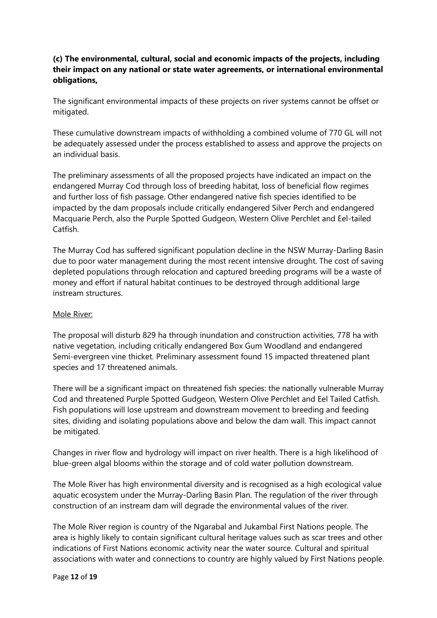## **(c) The environmental, cultural, social and economic impacts of the projects, including their impact on any national or state water agreements, or international environmental obligations,**

The significant environmental impacts of these projects on river systems cannot be offset or mitigated.

These cumulative downstream impacts of withholding a combined volume of 770 GL will not be adequately assessed under the process established to assess and approve the projects on an individual basis.

The preliminary assessments of all the proposed projects have indicated an impact on the endangered Murray Cod through loss of breeding habitat, loss of beneficial flow regimes and further loss of fish passage. Other endangered native fish species identified to be impacted by the dam proposals include critically endangered Silver Perch and endangered Macquarie Perch, also the Purple Spotted Gudgeon, Western Olive Perchlet and Eel-tailed Catfish.

The Murray Cod has suffered significant population decline in the NSW Murray-Darling Basin due to poor water management during the most recent intensive drought. The cost of saving depleted populations through relocation and captured breeding programs will be a waste of money and effort if natural habitat continues to be destroyed through additional large instream structures.

#### Mole River:

The proposal will disturb 829 ha through inundation and construction activities, 778 ha with native vegetation, including critically endangered Box Gum Woodland and endangered Semi-evergreen vine thicket. Preliminary assessment found 15 impacted threatened plant species and 17 threatened animals.

There will be a significant impact on threatened fish species: the nationally vulnerable Murray Cod and threatened Purple Spotted Gudgeon, Western Olive Perchlet and Eel Tailed Catfish. Fish populations will lose upstream and downstream movement to breeding and feeding sites, dividing and isolating populations above and below the dam wall. This impact cannot be mitigated.

Changes in river flow and hydrology will impact on river health. There is a high likelihood of blue-green algal blooms within the storage and of cold water pollution downstream.

The Mole River has high environmental diversity and is recognised as a high ecological value aquatic ecosystem under the Murray-Darling Basin Plan. The regulation of the river through construction of an instream dam will degrade the environmental values of the river.

The Mole River region is country of the Ngarabal and Jukambal First Nations people. The area is highly likely to contain significant cultural heritage values such as scar trees and other indications of First Nations economic activity near the water source. Cultural and spiritual associations with water and connections to country are highly valued by First Nations people.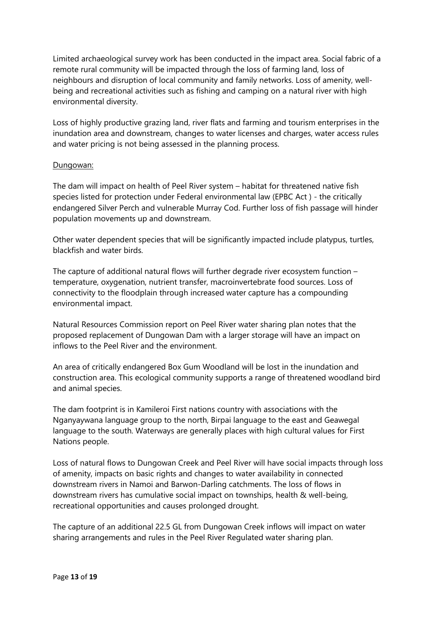Limited archaeological survey work has been conducted in the impact area. Social fabric of a remote rural community will be impacted through the loss of farming land, loss of neighbours and disruption of local community and family networks. Loss of amenity, wellbeing and recreational activities such as fishing and camping on a natural river with high environmental diversity.

Loss of highly productive grazing land, river flats and farming and tourism enterprises in the inundation area and downstream, changes to water licenses and charges, water access rules and water pricing is not being assessed in the planning process.

## Dungowan:

The dam will impact on health of Peel River system – habitat for threatened native fish species listed for protection under Federal environmental law (EPBC Act ) - the critically endangered Silver Perch and vulnerable Murray Cod. Further loss of fish passage will hinder population movements up and downstream.

Other water dependent species that will be significantly impacted include platypus, turtles, blackfish and water birds.

The capture of additional natural flows will further degrade river ecosystem function – temperature, oxygenation, nutrient transfer, macroinvertebrate food sources. Loss of connectivity to the floodplain through increased water capture has a compounding environmental impact.

Natural Resources Commission report on Peel River water sharing plan notes that the proposed replacement of Dungowan Dam with a larger storage will have an impact on inflows to the Peel River and the environment.

An area of critically endangered Box Gum Woodland will be lost in the inundation and construction area. This ecological community supports a range of threatened woodland bird and animal species.

The dam footprint is in Kamileroi First nations country with associations with the Nganyaywana language group to the north, Birpai language to the east and Geawegal language to the south. Waterways are generally places with high cultural values for First Nations people.

Loss of natural flows to Dungowan Creek and Peel River will have social impacts through loss of amenity, impacts on basic rights and changes to water availability in connected downstream rivers in Namoi and Barwon-Darling catchments. The loss of flows in downstream rivers has cumulative social impact on townships, health & well-being, recreational opportunities and causes prolonged drought.

The capture of an additional 22.5 GL from Dungowan Creek inflows will impact on water sharing arrangements and rules in the Peel River Regulated water sharing plan.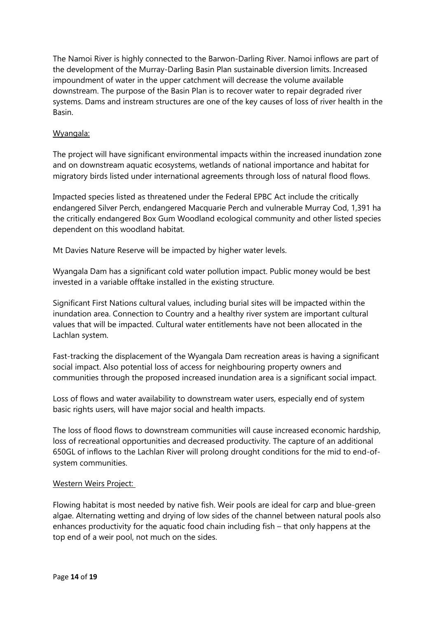The Namoi River is highly connected to the Barwon-Darling River. Namoi inflows are part of the development of the Murray-Darling Basin Plan sustainable diversion limits. Increased impoundment of water in the upper catchment will decrease the volume available downstream. The purpose of the Basin Plan is to recover water to repair degraded river systems. Dams and instream structures are one of the key causes of loss of river health in the Basin.

#### Wyangala:

The project will have significant environmental impacts within the increased inundation zone and on downstream aquatic ecosystems, wetlands of national importance and habitat for migratory birds listed under international agreements through loss of natural flood flows.

Impacted species listed as threatened under the Federal EPBC Act include the critically endangered Silver Perch, endangered Macquarie Perch and vulnerable Murray Cod, 1,391 ha the critically endangered Box Gum Woodland ecological community and other listed species dependent on this woodland habitat.

Mt Davies Nature Reserve will be impacted by higher water levels.

Wyangala Dam has a significant cold water pollution impact. Public money would be best invested in a variable offtake installed in the existing structure.

Significant First Nations cultural values, including burial sites will be impacted within the inundation area. Connection to Country and a healthy river system are important cultural values that will be impacted. Cultural water entitlements have not been allocated in the Lachlan system.

Fast-tracking the displacement of the Wyangala Dam recreation areas is having a significant social impact. Also potential loss of access for neighbouring property owners and communities through the proposed increased inundation area is a significant social impact.

Loss of flows and water availability to downstream water users, especially end of system basic rights users, will have major social and health impacts.

The loss of flood flows to downstream communities will cause increased economic hardship, loss of recreational opportunities and decreased productivity. The capture of an additional 650GL of inflows to the Lachlan River will prolong drought conditions for the mid to end-ofsystem communities.

#### Western Weirs Project:

Flowing habitat is most needed by native fish. Weir pools are ideal for carp and blue-green algae. Alternating wetting and drying of low sides of the channel between natural pools also enhances productivity for the aquatic food chain including fish – that only happens at the top end of a weir pool, not much on the sides.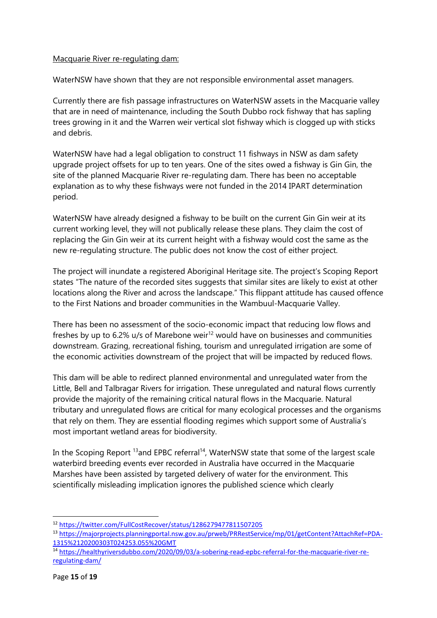## Macquarie River re-regulating dam:

WaterNSW have shown that they are not responsible environmental asset managers.

Currently there are fish passage infrastructures on WaterNSW assets in the Macquarie valley that are in need of maintenance, including the South Dubbo rock fishway that has sapling trees growing in it and the Warren weir vertical slot fishway which is clogged up with sticks and debris.

WaterNSW have had a legal obligation to construct 11 fishways in NSW as dam safety upgrade project offsets for up to ten years. One of the sites owed a fishway is Gin Gin, the site of the planned Macquarie River re-regulating dam. There has been no acceptable explanation as to why these fishways were not funded in the 2014 IPART determination period.

WaterNSW have already designed a fishway to be built on the current Gin Gin weir at its current working level, they will not publically release these plans. They claim the cost of replacing the Gin Gin weir at its current height with a fishway would cost the same as the new re-regulating structure. The public does not know the cost of either project.

The project will inundate a registered Aboriginal Heritage site. The project's Scoping Report states "The nature of the recorded sites suggests that similar sites are likely to exist at other locations along the River and across the landscape." This flippant attitude has caused offence to the First Nations and broader communities in the Wambuul-Macquarie Valley.

There has been no assessment of the socio-economic impact that reducing low flows and freshes by up to 6.2% u/s of Marebone weir<sup>12</sup> would have on businesses and communities downstream. Grazing, recreational fishing, tourism and unregulated irrigation are some of the economic activities downstream of the project that will be impacted by reduced flows.

This dam will be able to redirect planned environmental and unregulated water from the Little, Bell and Talbragar Rivers for irrigation. These unregulated and natural flows currently provide the majority of the remaining critical natural flows in the Macquarie. Natural tributary and unregulated flows are critical for many ecological processes and the organisms that rely on them. They are essential flooding regimes which support some of Australia's most important wetland areas for biodiversity.

In the Scoping Report  $^{13}$ and EPBC referral<sup>14</sup>, WaterNSW state that some of the largest scale waterbird breeding events ever recorded in Australia have occurred in the Macquarie Marshes have been assisted by targeted delivery of water for the environment. This scientifically misleading implication ignores the published science which clearly

 $\overline{a}$ 

<sup>12</sup> <https://twitter.com/FullCostRecover/status/1286279477811507205>

<sup>13</sup> [https://majorprojects.planningportal.nsw.gov.au/prweb/PRRestService/mp/01/getContent?AttachRef=PDA-](https://majorprojects.planningportal.nsw.gov.au/prweb/PRRestService/mp/01/getContent?AttachRef=PDA-1315%2120200303T024253.055%20GMT)[1315%2120200303T024253.055%20GMT](https://majorprojects.planningportal.nsw.gov.au/prweb/PRRestService/mp/01/getContent?AttachRef=PDA-1315%2120200303T024253.055%20GMT)

<sup>14</sup> [https://healthyriversdubbo.com/2020/09/03/a-sobering-read-epbc-referral-for-the-macquarie-river-re](https://healthyriversdubbo.com/2020/09/03/a-sobering-read-epbc-referral-for-the-macquarie-river-re-regulating-dam/)[regulating-dam/](https://healthyriversdubbo.com/2020/09/03/a-sobering-read-epbc-referral-for-the-macquarie-river-re-regulating-dam/)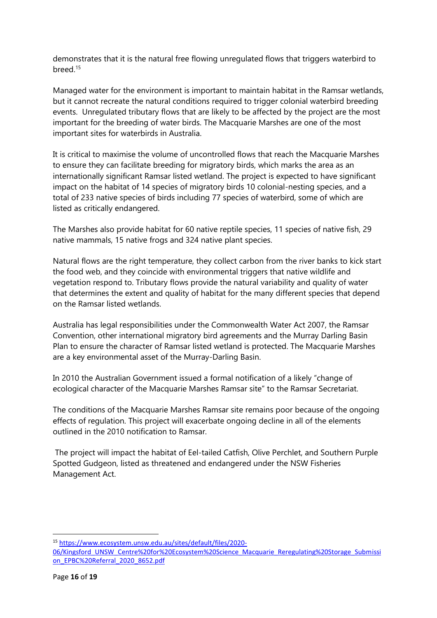demonstrates that it is the natural free flowing unregulated flows that triggers waterbird to breed.<sup>15</sup>

Managed water for the environment is important to maintain habitat in the Ramsar wetlands, but it cannot recreate the natural conditions required to trigger colonial waterbird breeding events. Unregulated tributary flows that are likely to be affected by the project are the most important for the breeding of water birds. The Macquarie Marshes are one of the most important sites for waterbirds in Australia.

It is critical to maximise the volume of uncontrolled flows that reach the Macquarie Marshes to ensure they can facilitate breeding for migratory birds, which marks the area as an internationally significant Ramsar listed wetland. The project is expected to have significant impact on the habitat of 14 species of migratory birds 10 colonial-nesting species, and a total of 233 native species of birds including 77 species of waterbird, some of which are listed as critically endangered.

The Marshes also provide habitat for 60 native reptile species, 11 species of native fish, 29 native mammals, 15 native frogs and 324 native plant species.

Natural flows are the right temperature, they collect carbon from the river banks to kick start the food web, and they coincide with environmental triggers that native wildlife and vegetation respond to. Tributary flows provide the natural variability and quality of water that determines the extent and quality of habitat for the many different species that depend on the Ramsar listed wetlands.

Australia has legal responsibilities under the Commonwealth Water Act 2007, the Ramsar Convention, other international migratory bird agreements and the Murray Darling Basin Plan to ensure the character of Ramsar listed wetland is protected. The Macquarie Marshes are a key environmental asset of the Murray-Darling Basin.

In 2010 the Australian Government issued a formal notification of a likely "change of ecological character of the Macquarie Marshes Ramsar site" to the Ramsar Secretariat.

The conditions of the Macquarie Marshes Ramsar site remains poor because of the ongoing effects of regulation. This project will exacerbate ongoing decline in all of the elements outlined in the 2010 notification to Ramsar.

The project will impact the habitat of Eel-tailed Catfish, Olive Perchlet, and Southern Purple Spotted Gudgeon, listed as threatened and endangered under the NSW Fisheries Management Act.

<sup>15</sup> [https://www.ecosystem.unsw.edu.au/sites/default/files/2020-](https://www.ecosystem.unsw.edu.au/sites/default/files/2020-06/Kingsford_UNSW_Centre%20for%20Ecosystem%20Science_Macquarie_Reregulating%20Storage_Submission_EPBC%20Referral_2020_8652.pdf)

[<sup>06/</sup>Kingsford\\_UNSW\\_Centre%20for%20Ecosystem%20Science\\_Macquarie\\_Reregulating%20Storage\\_Submissi](https://www.ecosystem.unsw.edu.au/sites/default/files/2020-06/Kingsford_UNSW_Centre%20for%20Ecosystem%20Science_Macquarie_Reregulating%20Storage_Submission_EPBC%20Referral_2020_8652.pdf) [on\\_EPBC%20Referral\\_2020\\_8652.pdf](https://www.ecosystem.unsw.edu.au/sites/default/files/2020-06/Kingsford_UNSW_Centre%20for%20Ecosystem%20Science_Macquarie_Reregulating%20Storage_Submission_EPBC%20Referral_2020_8652.pdf)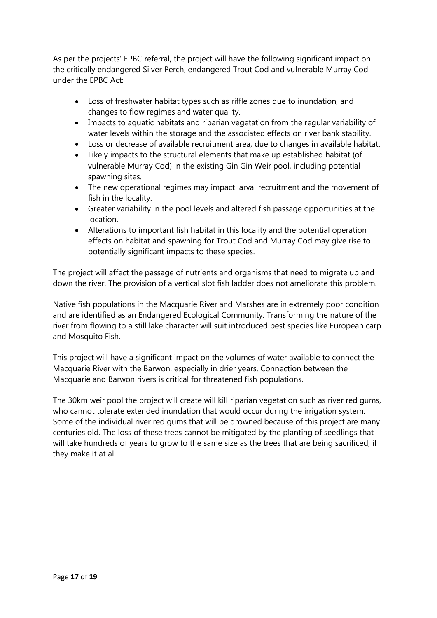As per the projects' EPBC referral, the project will have the following significant impact on the critically endangered Silver Perch, endangered Trout Cod and vulnerable Murray Cod under the EPBC Act:

- Loss of freshwater habitat types such as riffle zones due to inundation, and changes to flow regimes and water quality.
- Impacts to aquatic habitats and riparian vegetation from the regular variability of water levels within the storage and the associated effects on river bank stability.
- Loss or decrease of available recruitment area, due to changes in available habitat.
- Likely impacts to the structural elements that make up established habitat (of vulnerable Murray Cod) in the existing Gin Gin Weir pool, including potential spawning sites.
- The new operational regimes may impact larval recruitment and the movement of fish in the locality.
- Greater variability in the pool levels and altered fish passage opportunities at the location.
- Alterations to important fish habitat in this locality and the potential operation effects on habitat and spawning for Trout Cod and Murray Cod may give rise to potentially significant impacts to these species.

The project will affect the passage of nutrients and organisms that need to migrate up and down the river. The provision of a vertical slot fish ladder does not ameliorate this problem.

Native fish populations in the Macquarie River and Marshes are in extremely poor condition and are identified as an Endangered Ecological Community. Transforming the nature of the river from flowing to a still lake character will suit introduced pest species like European carp and Mosquito Fish.

This project will have a significant impact on the volumes of water available to connect the Macquarie River with the Barwon, especially in drier years. Connection between the Macquarie and Barwon rivers is critical for threatened fish populations.

The 30km weir pool the project will create will kill riparian vegetation such as river red gums, who cannot tolerate extended inundation that would occur during the irrigation system. Some of the individual river red gums that will be drowned because of this project are many centuries old. The loss of these trees cannot be mitigated by the planting of seedlings that will take hundreds of years to grow to the same size as the trees that are being sacrificed, if they make it at all.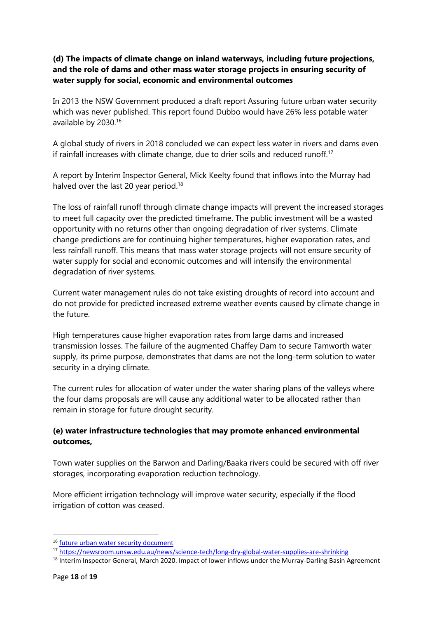## **(d) The impacts of climate change on inland waterways, including future projections, and the role of dams and other mass water storage projects in ensuring security of water supply for social, economic and environmental outcomes**

In 2013 the NSW Government produced a draft report Assuring future urban water security which was never published. This report found Dubbo would have 26% less potable water available by 2030.<sup>16</sup>

A global study of rivers in 2018 concluded we can expect less water in rivers and dams even if rainfall increases with climate change, due to drier soils and reduced runoff.<sup>17</sup>

A report by Interim Inspector General, Mick Keelty found that inflows into the Murray had halved over the last 20 year period.<sup>18</sup>

The loss of rainfall runoff through climate change impacts will prevent the increased storages to meet full capacity over the predicted timeframe. The public investment will be a wasted opportunity with no returns other than ongoing degradation of river systems. Climate change predictions are for continuing higher temperatures, higher evaporation rates, and less rainfall runoff. This means that mass water storage projects will not ensure security of water supply for social and economic outcomes and will intensify the environmental degradation of river systems.

Current water management rules do not take existing droughts of record into account and do not provide for predicted increased extreme weather events caused by climate change in the future.

High temperatures cause higher evaporation rates from large dams and increased transmission losses. The failure of the augmented Chaffey Dam to secure Tamworth water supply, its prime purpose, demonstrates that dams are not the long-term solution to water security in a drying climate.

The current rules for allocation of water under the water sharing plans of the valleys where the four dams proposals are will cause any additional water to be allocated rather than remain in storage for future drought security.

# **(e) water infrastructure technologies that may promote enhanced environmental outcomes,**

Town water supplies on the Barwon and Darling/Baaka rivers could be secured with off river storages, incorporating evaporation reduction technology.

More efficient irrigation technology will improve water security, especially if the flood irrigation of cotton was ceased.

<sup>16</sup> [future urban water security document](http://www.water.nsw.gov.au/__data/assets/pdf_file/0005/665609/assuring-future-urban-water-security-draft.pdf)

<sup>17</sup> <https://newsroom.unsw.edu.au/news/science-tech/long-dry-global-water-supplies-are-shrinking>

<sup>&</sup>lt;sup>18</sup> Interim Inspector General, March 2020. Impact of lower inflows under the Murray-Darling Basin Agreement